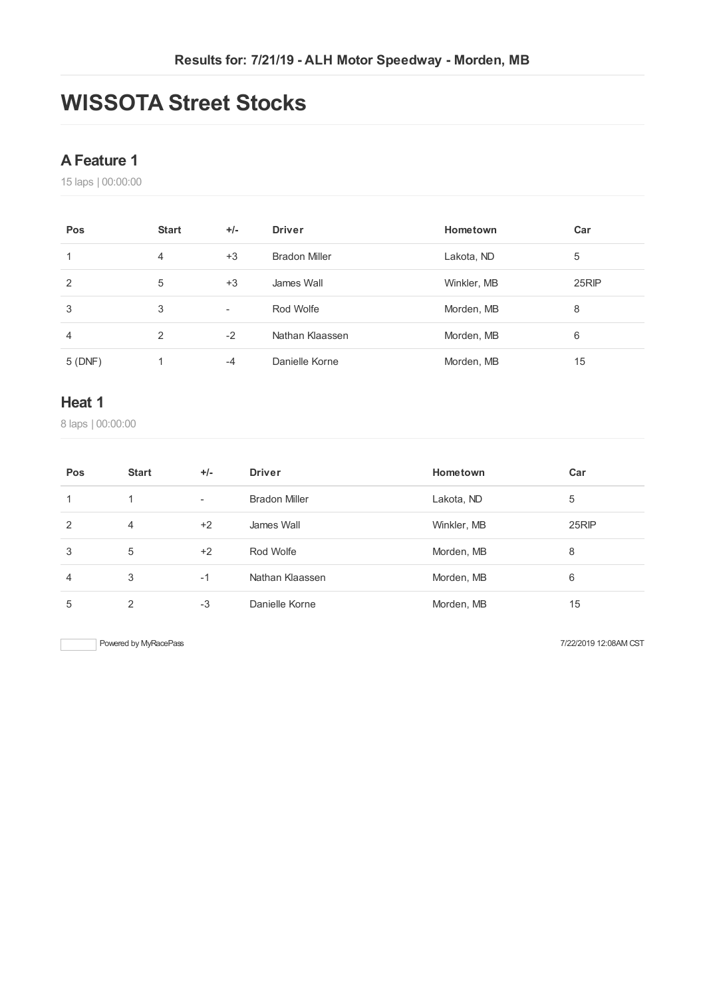# **WISSOTA Street Stocks**

#### **AFeature 1**

laps | 00:00:00

| Pos    | <b>Start</b>   | $+/-$                    | <b>Driver</b>        | Hometown    | Car   |
|--------|----------------|--------------------------|----------------------|-------------|-------|
|        | $\overline{4}$ | $+3$                     | <b>Bradon Miller</b> | Lakota, ND  | 5     |
| 2      | 5              | $+3$                     | James Wall           | Winkler, MB | 25RIP |
| 3      | 3              | $\overline{\phantom{a}}$ | Rod Wolfe            | Morden, MB  | 8     |
| 4      | 2              | $-2$                     | Nathan Klaassen      | Morden, MB  | 6     |
| 5(DNF) |                | $-4$                     | Danielle Korne       | Morden, MB  | 15    |

#### **Heat 1**

laps | 00:00:00

| Pos            | <b>Start</b>   | $+/-$                    | <b>Driver</b>        | Hometown    | Car   |
|----------------|----------------|--------------------------|----------------------|-------------|-------|
| 1              | 1.             | $\overline{\phantom{a}}$ | <b>Bradon Miller</b> | Lakota, ND  | 5     |
| 2              | $\overline{4}$ | $+2$                     | James Wall           | Winkler, MB | 25RIP |
| 3              | 5              | $+2$                     | Rod Wolfe            | Morden, MB  | 8     |
| $\overline{4}$ | 3              | $-1$                     | Nathan Klaassen      | Morden, MB  | 6     |
| 5              | $\mathfrak{p}$ | $-3$                     | Danielle Korne       | Morden, MB  | 15    |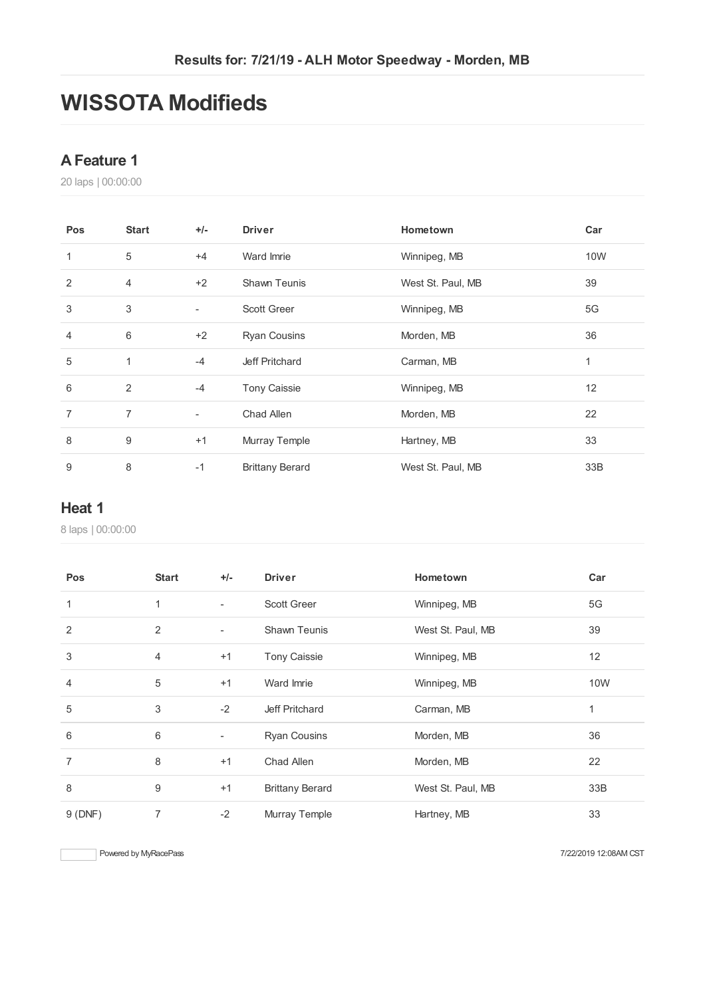# **WISSOTA Modifieds**

#### **AFeature 1**

laps | 00:00:00

| Pos            | <b>Start</b>   | $+/-$                    | <b>Driver</b>          | Hometown          | Car        |
|----------------|----------------|--------------------------|------------------------|-------------------|------------|
| 1              | 5              | $+4$                     | Ward Imrie             | Winnipeg, MB      | <b>10W</b> |
| 2              | $\overline{4}$ | $+2$                     | <b>Shawn Teunis</b>    | West St. Paul, MB | 39         |
| 3              | 3              | $\overline{\phantom{a}}$ | <b>Scott Greer</b>     | Winnipeg, MB      | 5G         |
| $\overline{4}$ | 6              | $+2$                     | <b>Ryan Cousins</b>    | Morden, MB        | 36         |
| 5              | 1              | $-4$                     | Jeff Pritchard         | Carman, MB        | 1          |
| 6              | 2              | $-4$                     | <b>Tony Caissie</b>    | Winnipeg, MB      | 12         |
| 7              | $\overline{7}$ | $\overline{\phantom{a}}$ | Chad Allen             | Morden, MB        | 22         |
| 8              | 9              | $+1$                     | Murray Temple          | Hartney, MB       | 33         |
| 9              | 8              | $-1$                     | <b>Brittany Berard</b> | West St. Paul, MB | 33B        |

#### **Heat 1**

laps | 00:00:00

| Pos            | <b>Start</b>   | $+/-$                    | <b>Driver</b>          | Hometown          | Car |
|----------------|----------------|--------------------------|------------------------|-------------------|-----|
| 1              | 1              | $\overline{\phantom{a}}$ | <b>Scott Greer</b>     | Winnipeg, MB      | 5G  |
| 2              | $\overline{2}$ | $\overline{\phantom{a}}$ | <b>Shawn Teunis</b>    | West St. Paul, MB | 39  |
| 3              | $\overline{4}$ | $+1$                     | <b>Tony Caissie</b>    | Winnipeg, MB      | 12  |
| $\overline{4}$ | 5              | $+1$                     | Ward Imrie             | Winnipeg, MB      | 10W |
| 5              | 3              | $-2$                     | Jeff Pritchard         | Carman, MB        | 1   |
| 6              | 6              | ۰                        | <b>Ryan Cousins</b>    | Morden, MB        | 36  |
| $\overline{7}$ | 8              | $+1$                     | Chad Allen             | Morden, MB        | 22  |
| 8              | 9              | $+1$                     | <b>Brittany Berard</b> | West St. Paul, MB | 33B |
| 9(DNF)         | 7              | $-2$                     | Murray Temple          | Hartney, MB       | 33  |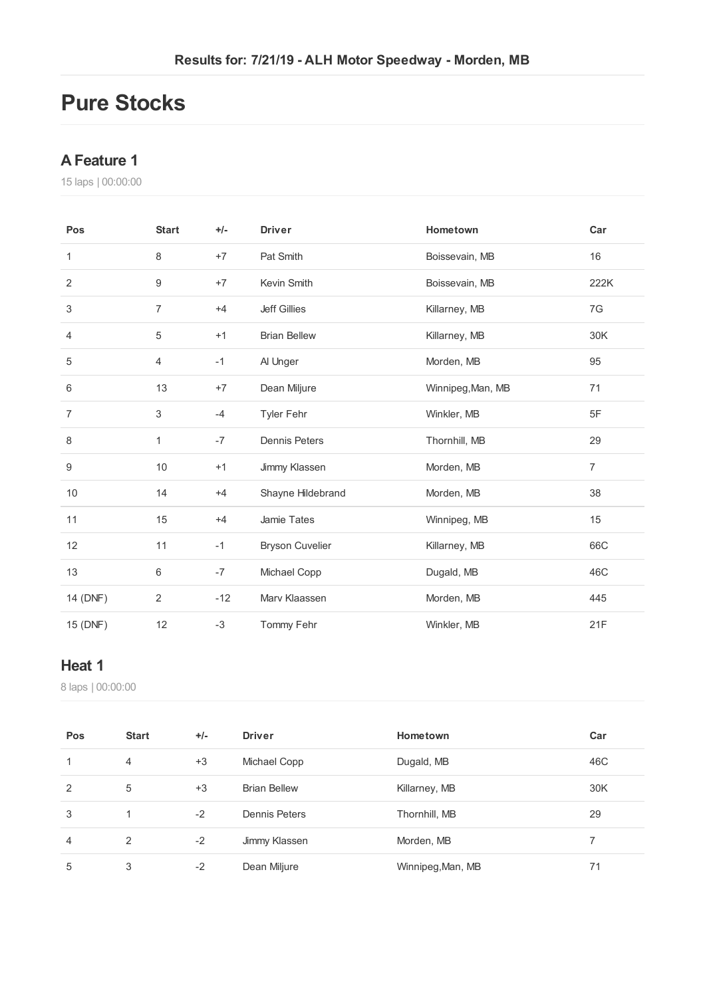## **Pure Stocks**

#### **AFeature 1**

laps | 00:00:00

| Pos            | <b>Start</b>   | $+/-$ | <b>Driver</b>          | Hometown          | Car            |
|----------------|----------------|-------|------------------------|-------------------|----------------|
| $\mathbf{1}$   | 8              | $+7$  | Pat Smith              | Boissevain, MB    | 16             |
| $\overline{2}$ | 9              | $+7$  | Kevin Smith            | Boissevain, MB    | 222K           |
| 3              | 7              | $+4$  | <b>Jeff Gillies</b>    | Killarney, MB     | 7G             |
| 4              | 5              | $+1$  | <b>Brian Bellew</b>    | Killarney, MB     | 30K            |
| 5              | 4              | $-1$  | Al Unger               | Morden, MB        | 95             |
| 6              | 13             | $+7$  | Dean Miljure           | Winnipeg, Man, MB | 71             |
| $\overline{7}$ | 3              | $-4$  | Tyler Fehr             | Winkler, MB       | 5F             |
| 8              | $\mathbf{1}$   | $-7$  | <b>Dennis Peters</b>   | Thornhill, MB     | 29             |
| 9              | 10             | $+1$  | Jimmy Klassen          | Morden, MB        | $\overline{7}$ |
| $10$           | 14             | $+4$  | Shayne Hildebrand      | Morden, MB        | 38             |
| 11             | 15             | $+4$  | Jamie Tates            | Winnipeg, MB      | 15             |
| 12             | 11             | $-1$  | <b>Bryson Cuvelier</b> | Killarney, MB     | 66C            |
| 13             | 6              | $-7$  | Michael Copp           | Dugald, MB        | 46C            |
| 14 (DNF)       | $\overline{2}$ | $-12$ | Marv Klaassen          | Morden, MB        | 445            |
| 15 (DNF)       | 12             | $-3$  | Tommy Fehr             | Winkler, MB       | 21F            |

#### **Heat 1**

laps | 00:00:00

| Pos | <b>Start</b>   | $+/-$ | <b>Driver</b>       | Hometown          | Car |
|-----|----------------|-------|---------------------|-------------------|-----|
| 1   | $\overline{4}$ | $+3$  | Michael Copp        | Dugald, MB        | 46C |
| 2   | 5              | $+3$  | <b>Brian Bellew</b> | Killarney, MB     | 30K |
| 3   | 1              | $-2$  | Dennis Peters       | Thornhill, MB     | 29  |
| 4   | 2              | $-2$  | Jimmy Klassen       | Morden, MB        |     |
| 5   | 3              | $-2$  | Dean Miljure        | Winnipeg, Man, MB | 71  |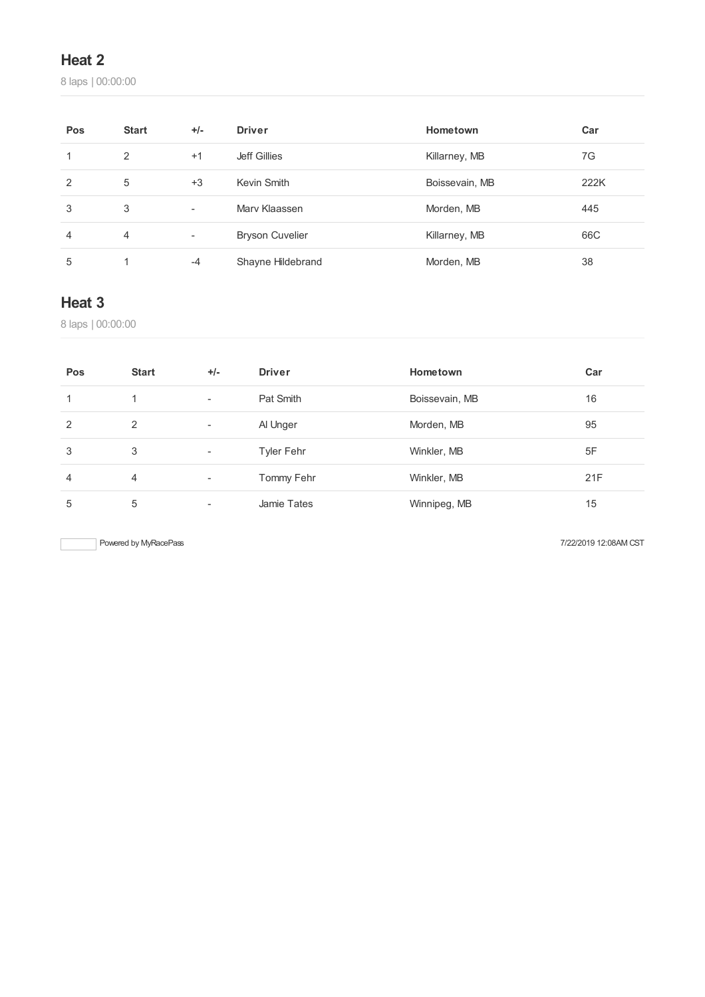## **Heat 2**

laps | 00:00:00

| Pos | <b>Start</b> | $+/-$                    | <b>Driver</b>          | Hometown       | Car  |
|-----|--------------|--------------------------|------------------------|----------------|------|
|     | 2            | $+1$                     | Jeff Gillies           | Killarney, MB  | 7G   |
| 2   | 5            | $+3$                     | Kevin Smith            | Boissevain, MB | 222K |
| 3   | 3            | $\overline{\phantom{a}}$ | Mary Klaassen          | Morden, MB     | 445  |
| 4   | 4            | Ξ.                       | <b>Bryson Cuvelier</b> | Killarney, MB  | 66C  |
| 5   |              | $-4$                     | Shayne Hildebrand      | Morden, MB     | 38   |

### **Heat 3**

laps | 00:00:00

| Pos | <b>Start</b>   | $+/-$                    | <b>Driver</b> | Hometown       | Car |
|-----|----------------|--------------------------|---------------|----------------|-----|
|     |                | $\overline{\phantom{a}}$ | Pat Smith     | Boissevain, MB | 16  |
| 2   | $\overline{2}$ | ٠                        | Al Unger      | Morden, MB     | 95  |
| 3   | 3              | ٠                        | Tyler Fehr    | Winkler, MB    | 5F  |
| 4   | 4              | $\overline{\phantom{a}}$ | Tommy Fehr    | Winkler, MB    | 21F |
| 5   | 5              | ۰                        | Jamie Tates   | Winnipeg, MB   | 15  |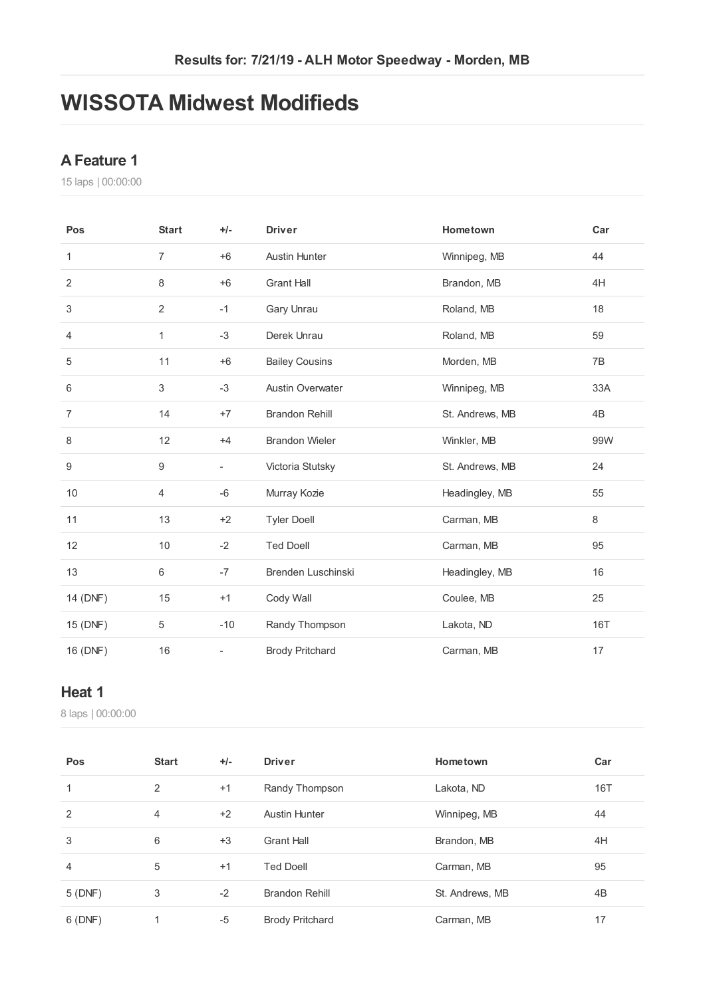# **WISSOTA Midwest Modifieds**

#### **AFeature 1**

laps | 00:00:00

| Pos              | <b>Start</b>   | $+/-$                    | <b>Driver</b>           | Hometown        | Car |
|------------------|----------------|--------------------------|-------------------------|-----------------|-----|
| 1                | $\overline{7}$ | $+6$                     | <b>Austin Hunter</b>    | Winnipeg, MB    | 44  |
| 2                | 8              | $+6$                     | <b>Grant Hall</b>       | Brandon, MB     | 4H  |
| 3                | $\sqrt{2}$     | $-1$                     | Gary Unrau              | Roland, MB      | 18  |
| 4                | 1              | $-3$                     | Derek Unrau             | Roland, MB      | 59  |
| $\,$ 5 $\,$      | 11             | $+6$                     | <b>Bailey Cousins</b>   | Morden, MB      | 7B  |
| 6                | 3              | $-3$                     | <b>Austin Overwater</b> | Winnipeg, MB    | 33A |
| $\overline{7}$   | 14             | $+7$                     | <b>Brandon Rehill</b>   | St. Andrews, MB | 4B  |
| 8                | 12             | $+4$                     | <b>Brandon Wieler</b>   | Winkler, MB     | 99W |
| $\boldsymbol{9}$ | 9              | ÷,                       | Victoria Stutsky        | St. Andrews, MB | 24  |
| 10               | $\overline{4}$ | $-6$                     | Murray Kozie            | Headingley, MB  | 55  |
| 11               | 13             | $+2$                     | <b>Tyler Doell</b>      | Carman, MB      | 8   |
| 12               | 10             | $-2$                     | <b>Ted Doell</b>        | Carman, MB      | 95  |
| 13               | $6\,$          | $-7$                     | Brenden Luschinski      | Headingley, MB  | 16  |
| 14 (DNF)         | 15             | $+1$                     | Cody Wall               | Coulee, MB      | 25  |
| 15 (DNF)         | 5              | $-10$                    | Randy Thompson          | Lakota, ND      | 16T |
| 16 (DNF)         | 16             | $\overline{\phantom{0}}$ | <b>Brody Pritchard</b>  | Carman, MB      | 17  |

#### **Heat 1**

laps | 00:00:00

| Pos            | <b>Start</b>   | $+/-$ | <b>Driver</b>          | Hometown        | Car |
|----------------|----------------|-------|------------------------|-----------------|-----|
| 1              | 2              | $+1$  | Randy Thompson         | Lakota, ND      | 16T |
| 2              | $\overline{4}$ | $+2$  | <b>Austin Hunter</b>   | Winnipeg, MB    | 44  |
| 3              | 6              | $+3$  | <b>Grant Hall</b>      | Brandon, MB     | 4H  |
| $\overline{4}$ | 5              | $+1$  | <b>Ted Doell</b>       | Carman, MB      | 95  |
| 5(DNF)         | 3              | $-2$  | <b>Brandon Rehill</b>  | St. Andrews, MB | 4B  |
| 6(DNF)         | 1              | $-5$  | <b>Brody Pritchard</b> | Carman, MB      | 17  |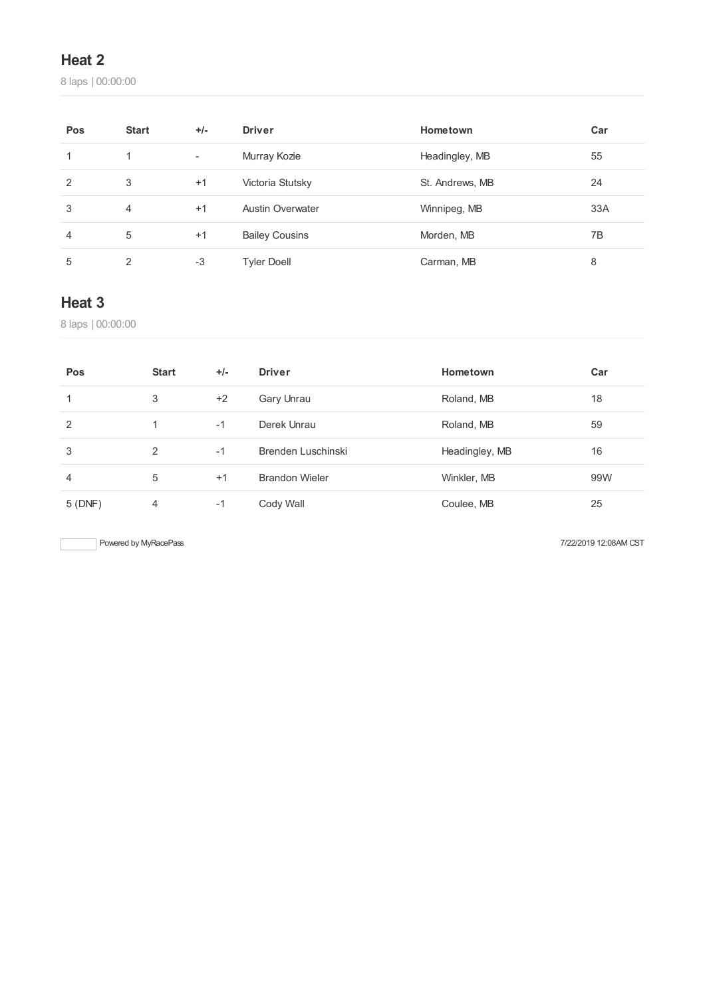### **Heat 2**

laps | 00:00:00

| Pos           | <b>Start</b> | $+/-$                    | <b>Driver</b>           | Hometown        | Car |
|---------------|--------------|--------------------------|-------------------------|-----------------|-----|
|               | 1            | $\overline{\phantom{a}}$ | Murray Kozie            | Headingley, MB  | 55  |
| $\mathcal{P}$ | 3            | $+1$                     | Victoria Stutsky        | St. Andrews, MB | 24  |
| 3             | 4            | $+1$                     | <b>Austin Overwater</b> | Winnipeg, MB    | 33A |
| 4             | 5            | $+1$                     | <b>Bailey Cousins</b>   | Morden, MB      | 7B  |
| 5             | 2            | $-3$                     | <b>Tyler Doell</b>      | Carman, MB      | 8   |

### **Heat 3**

laps | 00:00:00

| Pos           | <b>Start</b> | $+/-$ | <b>Driver</b>         | Hometown       | Car |
|---------------|--------------|-------|-----------------------|----------------|-----|
|               | 3            | $+2$  | Gary Unrau            | Roland, MB     | 18  |
| $\mathcal{P}$ |              | $-1$  | Derek Unrau           | Roland, MB     | 59  |
| 3             | 2            | $-1$  | Brenden Luschinski    | Headingley, MB | 16  |
| 4             | 5            | $+1$  | <b>Brandon Wieler</b> | Winkler, MB    | 99W |
| 5(DNF)        | 4            | $-1$  | Cody Wall             | Coulee, MB     | 25  |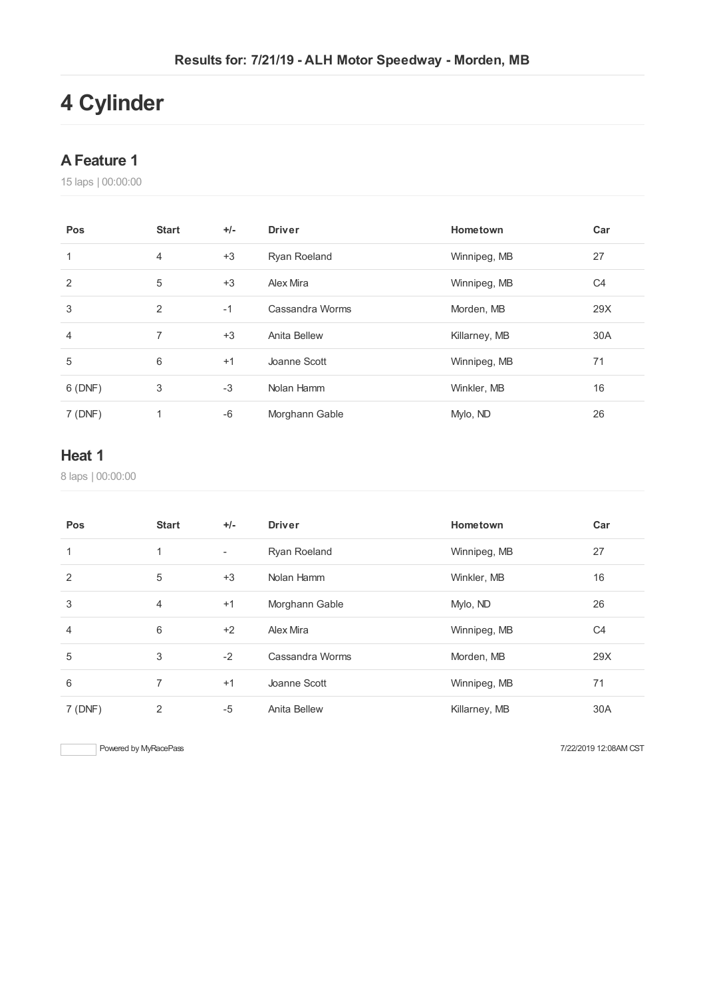# **Cylinder**

#### **AFeature 1**

laps | 00:00:00

| Pos    | <b>Start</b> | $+/-$ | <b>Driver</b>   | Hometown      | Car            |
|--------|--------------|-------|-----------------|---------------|----------------|
|        | 4            | $+3$  | Ryan Roeland    | Winnipeg, MB  | 27             |
| 2      | 5            | $+3$  | Alex Mira       | Winnipeg, MB  | C <sub>4</sub> |
| 3      | 2            | $-1$  | Cassandra Worms | Morden, MB    | 29X            |
| 4      | 7            | $+3$  | Anita Bellew    | Killarney, MB | 30A            |
| 5      | 6            | $+1$  | Joanne Scott    | Winnipeg, MB  | 71             |
| 6(DNF) | 3            | $-3$  | Nolan Hamm      | Winkler, MB   | 16             |
| 7(DNF) | 1            | $-6$  | Morghann Gable  | Mylo, ND      | 26             |

### **Heat 1**

laps | 00:00:00

| Pos     | <b>Start</b>   | $+/-$                    | <b>Driver</b>   | Hometown      | Car            |
|---------|----------------|--------------------------|-----------------|---------------|----------------|
|         | 1              | $\overline{\phantom{a}}$ | Ryan Roeland    | Winnipeg, MB  | 27             |
| 2       | 5              | $+3$                     | Nolan Hamm      | Winkler, MB   | 16             |
| 3       | $\overline{4}$ | $+1$                     | Morghann Gable  | Mylo, ND      | 26             |
| 4       | 6              | $+2$                     | Alex Mira       | Winnipeg, MB  | C <sub>4</sub> |
| 5       | 3              | $-2$                     | Cassandra Worms | Morden, MB    | 29X            |
| 6       | 7              | $+1$                     | Joanne Scott    | Winnipeg, MB  | 71             |
| 7 (DNF) | 2              | $-5$                     | Anita Bellew    | Killarney, MB | 30A            |